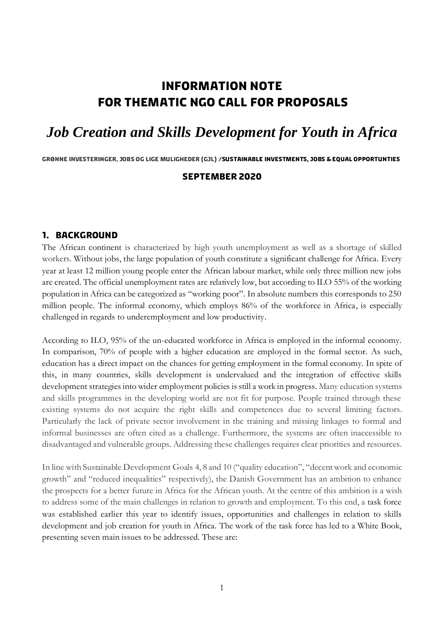# **Information note for thematic NGO call for proposals**

# *Job Creation and Skills Development for Youth in Africa*

**Grønne investeringer, Jobs og Lige muligheder (GJL) /SUSTAINABLE INVESTMENTS, JOBS & EQUAL OPPORTUNTIES**

#### **September 2020**

#### **1. Background**

The African continent is characterized by high youth unemployment as well as a shortage of skilled workers. Without jobs, the large population of youth constitute a significant challenge for Africa. Every year at least 12 million young people enter the African labour market, while only three million new jobs are created. The official unemployment rates are relatively low, but according to ILO 55% of the working population in Africa can be categorized as "working poor". In absolute numbers this corresponds to 250 million people. The informal economy, which employs 86% of the workforce in Africa, is especially challenged in regards to underemployment and low productivity.

According to ILO, 95% of the un-educated workforce in Africa is employed in the informal economy. In comparison, 70% of people with a higher education are employed in the formal sector. As such, education has a direct impact on the chances for getting employment in the formal economy. In spite of this, in many countries, skills development is undervalued and the integration of effective skills development strategies into wider employment policies is still a work in progress. Many education systems and skills programmes in the developing world are not fit for purpose. People trained through these existing systems do not acquire the right skills and competences due to several limiting factors. Particularly the lack of private sector involvement in the training and missing linkages to formal and informal businesses are often cited as a challenge. Furthermore, the systems are often inaccessible to disadvantaged and vulnerable groups. Addressing these challenges requires clear priorities and resources.

In line with Sustainable Development Goals 4, 8 and 10 ("quality education", "decent work and economic growth" and "reduced inequalities" respectively), the Danish Government has an ambition to enhance the prospects for a better future in Africa for the African youth. At the centre of this ambition is a wish to address some of the main challenges in relation to growth and employment. To this end, a task force was established earlier this year to identify issues, opportunities and challenges in relation to skills development and job creation for youth in Africa. The work of the task force has led to a White Book, presenting seven main issues to be addressed. These are: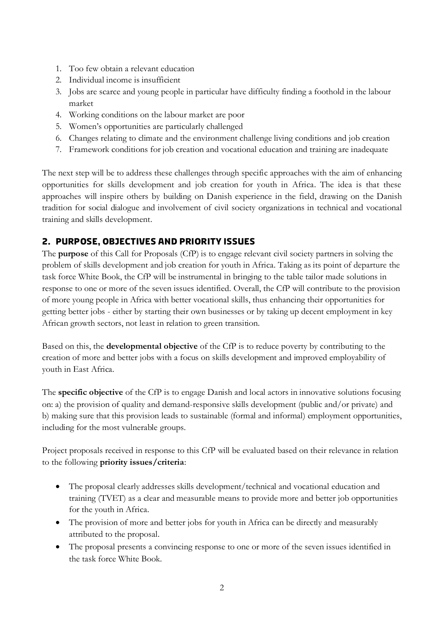- 1. Too few obtain a relevant education
- 2. Individual income is insufficient
- 3. Jobs are scarce and young people in particular have difficulty finding a foothold in the labour market
- 4. Working conditions on the labour market are poor
- 5. Women's opportunities are particularly challenged
- 6. Changes relating to climate and the environment challenge living conditions and job creation
- 7. Framework conditions for job creation and vocational education and training are inadequate

The next step will be to address these challenges through specific approaches with the aim of enhancing opportunities for skills development and job creation for youth in Africa. The idea is that these approaches will inspire others by building on Danish experience in the field, drawing on the Danish tradition for social dialogue and involvement of civil society organizations in technical and vocational training and skills development.

## **2. Purpose, Objectives and priority issues**

The **purpose** of this Call for Proposals (CfP) is to engage relevant civil society partners in solving the problem of skills development and job creation for youth in Africa. Taking as its point of departure the task force White Book, the CfP will be instrumental in bringing to the table tailor made solutions in response to one or more of the seven issues identified. Overall, the CfP will contribute to the provision of more young people in Africa with better vocational skills, thus enhancing their opportunities for getting better jobs - either by starting their own businesses or by taking up decent employment in key African growth sectors, not least in relation to green transition.

Based on this, the **developmental objective** of the CfP is to reduce poverty by contributing to the creation of more and better jobs with a focus on skills development and improved employability of youth in East Africa.

The **specific objective** of the CfP is to engage Danish and local actors in innovative solutions focusing on: a) the provision of quality and demand-responsive skills development (public and/or private) and b) making sure that this provision leads to sustainable (formal and informal) employment opportunities, including for the most vulnerable groups.

Project proposals received in response to this CfP will be evaluated based on their relevance in relation to the following **priority issues/criteria**:

- The proposal clearly addresses skills development/technical and vocational education and training (TVET) as a clear and measurable means to provide more and better job opportunities for the youth in Africa.
- The provision of more and better jobs for youth in Africa can be directly and measurably attributed to the proposal.
- The proposal presents a convincing response to one or more of the seven issues identified in the task force White Book.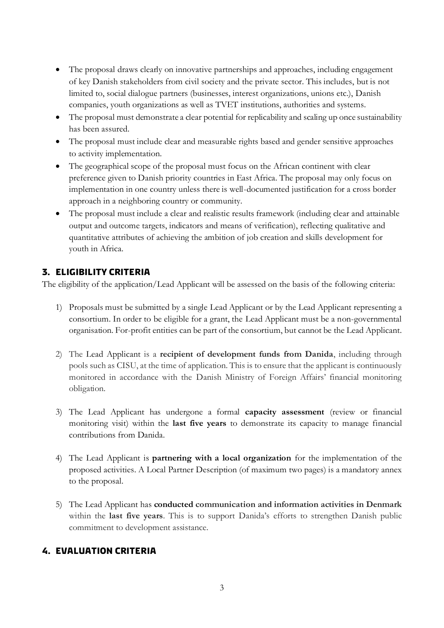- The proposal draws clearly on innovative partnerships and approaches, including engagement of key Danish stakeholders from civil society and the private sector. This includes, but is not limited to, social dialogue partners (businesses, interest organizations, unions etc.), Danish companies, youth organizations as well as TVET institutions, authorities and systems.
- The proposal must demonstrate a clear potential for replicability and scaling up once sustainability has been assured.
- The proposal must include clear and measurable rights based and gender sensitive approaches to activity implementation.
- The geographical scope of the proposal must focus on the African continent with clear preference given to Danish priority countries in East Africa. The proposal may only focus on implementation in one country unless there is well-documented justification for a cross border approach in a neighboring country or community.
- The proposal must include a clear and realistic results framework (including clear and attainable output and outcome targets, indicators and means of verification), reflecting qualitative and quantitative attributes of achieving the ambition of job creation and skills development for youth in Africa.

# **3. eligibility criteria**

The eligibility of the application/Lead Applicant will be assessed on the basis of the following criteria:

- 1) Proposals must be submitted by a single Lead Applicant or by the Lead Applicant representing a consortium. In order to be eligible for a grant, the Lead Applicant must be a non-governmental organisation. For-profit entities can be part of the consortium, but cannot be the Lead Applicant.
- 2) The Lead Applicant is a **recipient of development funds from Danida**, including through pools such as CISU, at the time of application. This is to ensure that the applicant is continuously monitored in accordance with the Danish Ministry of Foreign Affairs' financial monitoring obligation.
- 3) The Lead Applicant has undergone a formal **capacity assessment** (review or financial monitoring visit) within the **last five years** to demonstrate its capacity to manage financial contributions from Danida.
- 4) The Lead Applicant is **partnering with a local organization** for the implementation of the proposed activities. A Local Partner Description (of maximum two pages) is a mandatory annex to the proposal.
- 5) The Lead Applicant has **conducted communication and information activities in Denmark**  within the **last five years**. This is to support Danida's efforts to strengthen Danish public commitment to development assistance.

### **4. Evaluation criteria**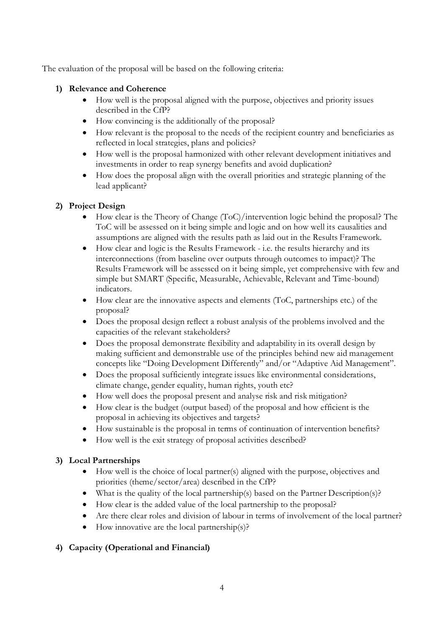The evaluation of the proposal will be based on the following criteria:

#### **1) Relevance and Coherence**

- How well is the proposal aligned with the purpose, objectives and priority issues described in the CfP?
- How convincing is the additionally of the proposal?
- How relevant is the proposal to the needs of the recipient country and beneficiaries as reflected in local strategies, plans and policies?
- How well is the proposal harmonized with other relevant development initiatives and investments in order to reap synergy benefits and avoid duplication?
- How does the proposal align with the overall priorities and strategic planning of the lead applicant?

#### **2) Project Design**

- How clear is the Theory of Change (ToC)/intervention logic behind the proposal? The ToC will be assessed on it being simple and logic and on how well its causalities and assumptions are aligned with the results path as laid out in the Results Framework.
- How clear and logic is the Results Framework i.e. the results hierarchy and its interconnections (from baseline over outputs through outcomes to impact)? The Results Framework will be assessed on it being simple, yet comprehensive with few and simple but SMART (Specific, Measurable, Achievable, Relevant and Time-bound) indicators.
- How clear are the innovative aspects and elements (ToC, partnerships etc.) of the proposal?
- Does the proposal design reflect a robust analysis of the problems involved and the capacities of the relevant stakeholders?
- Does the proposal demonstrate flexibility and adaptability in its overall design by making sufficient and demonstrable use of the principles behind new aid management concepts like "Doing Development Differently" and/or "Adaptive Aid Management".
- Does the proposal sufficiently integrate issues like environmental considerations, climate change, gender equality, human rights, youth etc?
- How well does the proposal present and analyse risk and risk mitigation?
- How clear is the budget (output based) of the proposal and how efficient is the proposal in achieving its objectives and targets?
- How sustainable is the proposal in terms of continuation of intervention benefits?
- How well is the exit strategy of proposal activities described?

#### **3) Local Partnerships**

- $\bullet$  How well is the choice of local partner(s) aligned with the purpose, objectives and priorities (theme/sector/area) described in the CfP?
- What is the quality of the local partnership(s) based on the Partner Description(s)?
- How clear is the added value of the local partnership to the proposal?
- Are there clear roles and division of labour in terms of involvement of the local partner?
- How innovative are the local partnership(s)?

### **4) Capacity (Operational and Financial)**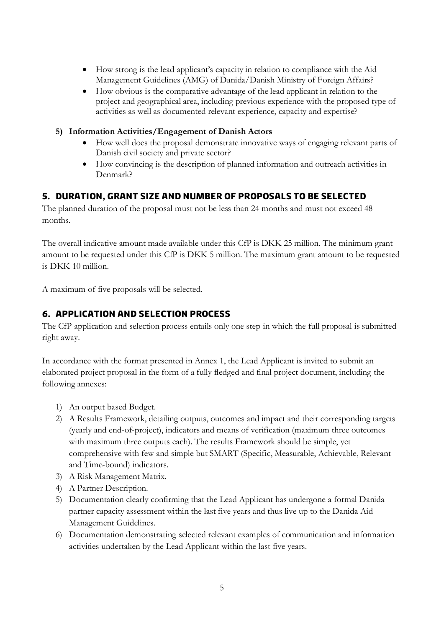- How strong is the lead applicant's capacity in relation to compliance with the Aid Management Guidelines (AMG) of Danida/Danish Ministry of Foreign Affairs?
- How obvious is the comparative advantage of the lead applicant in relation to the project and geographical area, including previous experience with the proposed type of activities as well as documented relevant experience, capacity and expertise?
- **5) Information Activities/Engagement of Danish Actors**
	- How well does the proposal demonstrate innovative ways of engaging relevant parts of Danish civil society and private sector?
	- How convincing is the description of planned information and outreach activities in Denmark?

## **5. Duration, grant size and number of proposals to be selected**

The planned duration of the proposal must not be less than 24 months and must not exceed 48 months.

The overall indicative amount made available under this CfP is DKK 25 million. The minimum grant amount to be requested under this CfP is DKK 5 million. The maximum grant amount to be requested is DKK 10 million.

A maximum of five proposals will be selected.

# **6. Application and selection process**

The CfP application and selection process entails only one step in which the full proposal is submitted right away.

In accordance with the format presented in Annex 1, the Lead Applicant is invited to submit an elaborated project proposal in the form of a fully fledged and final project document, including the following annexes:

- 1) An output based Budget.
- 2) A Results Framework, detailing outputs, outcomes and impact and their corresponding targets (yearly and end-of-project), indicators and means of verification (maximum three outcomes with maximum three outputs each). The results Framework should be simple, yet comprehensive with few and simple but SMART (Specific, Measurable, Achievable, Relevant and Time-bound) indicators.
- 3) A Risk Management Matrix.
- 4) A Partner Description.
- 5) Documentation clearly confirming that the Lead Applicant has undergone a formal Danida partner capacity assessment within the last five years and thus live up to the Danida Aid Management Guidelines.
- 6) Documentation demonstrating selected relevant examples of communication and information activities undertaken by the Lead Applicant within the last five years.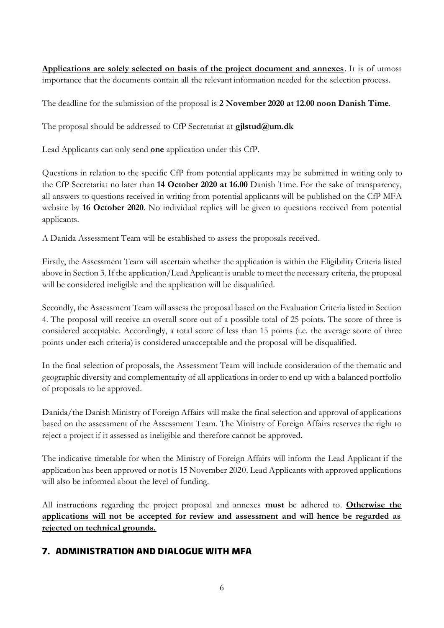**Applications are solely selected on basis of the project document and annexes**. It is of utmost importance that the documents contain all the relevant information needed for the selection process.

The deadline for the submission of the proposal is **2 November 2020 at 12.00 noon Danish Time**.

The proposal should be addressed to CfP Secretariat at **gjlstud@um.dk**

Lead Applicants can only send **one** application under this CfP.

Questions in relation to the specific CfP from potential applicants may be submitted in writing only to the CfP Secretariat no later than **14 October 2020 at 16.00** Danish Time. For the sake of transparency, all answers to questions received in writing from potential applicants will be published on the CfP MFA website by **16 October 2020**. No individual replies will be given to questions received from potential applicants.

A Danida Assessment Team will be established to assess the proposals received.

Firstly, the Assessment Team will ascertain whether the application is within the Eligibility Criteria listed above in Section 3. If the application/Lead Applicant is unable to meet the necessary criteria, the proposal will be considered ineligible and the application will be disqualified.

Secondly, the Assessment Team will assess the proposal based on the Evaluation Criteria listed in Section 4. The proposal will receive an overall score out of a possible total of 25 points. The score of three is considered acceptable. Accordingly, a total score of less than 15 points (i.e. the average score of three points under each criteria) is considered unacceptable and the proposal will be disqualified.

In the final selection of proposals, the Assessment Team will include consideration of the thematic and geographic diversity and complementarity of all applications in order to end up with a balanced portfolio of proposals to be approved.

Danida/the Danish Ministry of Foreign Affairs will make the final selection and approval of applications based on the assessment of the Assessment Team. The Ministry of Foreign Affairs reserves the right to reject a project if it assessed as ineligible and therefore cannot be approved.

The indicative timetable for when the Ministry of Foreign Affairs will inform the Lead Applicant if the application has been approved or not is 15 November 2020. Lead Applicants with approved applications will also be informed about the level of funding.

All instructions regarding the project proposal and annexes **must** be adhered to. **Otherwise the applications will not be accepted for review and assessment and will hence be regarded as rejected on technical grounds.**

### **7. Administration and dialogue with MFA**